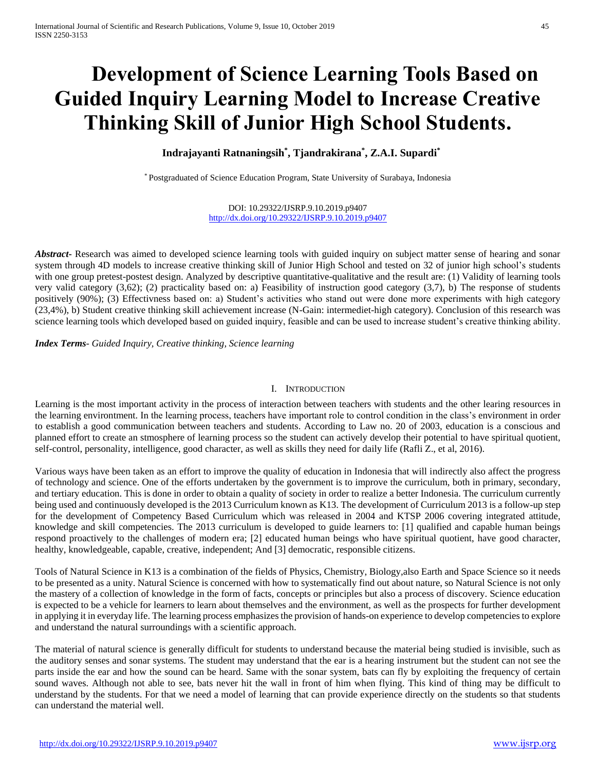# **Development of Science Learning Tools Based on Guided Inquiry Learning Model to Increase Creative Thinking Skill of Junior High School Students.**

**Indrajayanti Ratnaningsih\* , Tjandrakirana\* , Z.A.I. Supardi\***

\* Postgraduated of Science Education Program, State University of Surabaya, Indonesia

DOI: 10.29322/IJSRP.9.10.2019.p9407 <http://dx.doi.org/10.29322/IJSRP.9.10.2019.p9407>

*Abstract***-** Research was aimed to developed science learning tools with guided inquiry on subject matter sense of hearing and sonar system through 4D models to increase creative thinking skill of Junior High School and tested on 32 of junior high school's students with one group pretest-postest design. Analyzed by descriptive quantitative-qualitative and the result are: (1) Validity of learning tools very valid category (3,62); (2) practicality based on: a) Feasibility of instruction good category (3,7), b) The response of students positively (90%); (3) Effectivness based on: a) Student's activities who stand out were done more experiments with high category (23,4%), b) Student creative thinking skill achievement increase (N-Gain: intermediet-high category). Conclusion of this research was science learning tools which developed based on guided inquiry, feasible and can be used to increase student's creative thinking ability.

*Index Terms*- *Guided Inquiry, Creative thinking, Science learning*

# I. INTRODUCTION

Learning is the most important activity in the process of interaction between teachers with students and the other learing resources in the learning environtment. In the learning process, teachers have important role to control condition in the class's environment in order to establish a good communication between teachers and students. According to Law no. 20 of 2003, education is a conscious and planned effort to create an stmosphere of learning process so the student can actively develop their potential to have spiritual quotient, self-control, personality, intelligence, good character, as well as skills they need for daily life (Rafli Z., et al, 2016).

Various ways have been taken as an effort to improve the quality of education in Indonesia that will indirectly also affect the progress of technology and science. One of the efforts undertaken by the government is to improve the curriculum, both in primary, secondary, and tertiary education. This is done in order to obtain a quality of society in order to realize a better Indonesia. The curriculum currently being used and continuously developed is the 2013 Curriculum known as K13. The development of Curriculum 2013 is a follow-up step for the development of Competency Based Curriculum which was released in 2004 and KTSP 2006 covering integrated attitude, knowledge and skill competencies. The 2013 curriculum is developed to guide learners to: [1] qualified and capable human beings respond proactively to the challenges of modern era; [2] educated human beings who have spiritual quotient, have good character, healthy, knowledgeable, capable, creative, independent; And [3] democratic, responsible citizens.

Tools of Natural Science in K13 is a combination of the fields of Physics, Chemistry, Biology,also Earth and Space Science so it needs to be presented as a unity. Natural Science is concerned with how to systematically find out about nature, so Natural Science is not only the mastery of a collection of knowledge in the form of facts, concepts or principles but also a process of discovery. Science education is expected to be a vehicle for learners to learn about themselves and the environment, as well as the prospects for further development in applying it in everyday life. The learning process emphasizes the provision of hands-on experience to develop competencies to explore and understand the natural surroundings with a scientific approach.

The material of natural science is generally difficult for students to understand because the material being studied is invisible, such as the auditory senses and sonar systems. The student may understand that the ear is a hearing instrument but the student can not see the parts inside the ear and how the sound can be heard. Same with the sonar system, bats can fly by exploiting the frequency of certain sound waves. Although not able to see, bats never hit the wall in front of him when flying. This kind of thing may be difficult to understand by the students. For that we need a model of learning that can provide experience directly on the students so that students can understand the material well.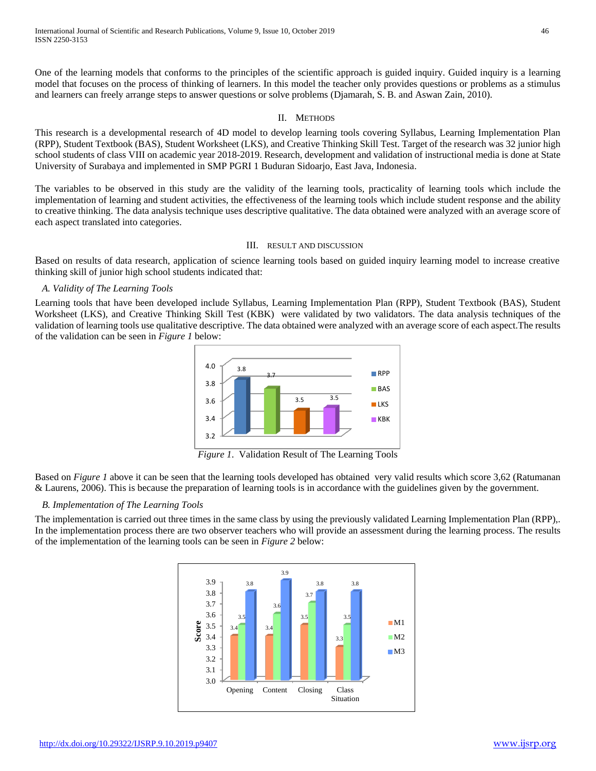One of the learning models that conforms to the principles of the scientific approach is guided inquiry. Guided inquiry is a learning model that focuses on the process of thinking of learners. In this model the teacher only provides questions or problems as a stimulus and learners can freely arrange steps to answer questions or solve problems (Djamarah, S. B. and Aswan Zain, 2010).

#### II. METHODS

This research is a developmental research of 4D model to develop learning tools covering Syllabus, Learning Implementation Plan (RPP), Student Textbook (BAS), Student Worksheet (LKS), and Creative Thinking Skill Test. Target of the research was 32 junior high school students of class VIII on academic year 2018-2019. Research, development and validation of instructional media is done at State University of Surabaya and implemented in SMP PGRI 1 Buduran Sidoarjo, East Java, Indonesia.

The variables to be observed in this study are the validity of the learning tools, practicality of learning tools which include the implementation of learning and student activities, the effectiveness of the learning tools which include student response and the ability to creative thinking. The data analysis technique uses descriptive qualitative. The data obtained were analyzed with an average score of each aspect translated into categories.

#### III. RESULT AND DISCUSSION

Based on results of data research, application of science learning tools based on guided inquiry learning model to increase creative thinking skill of junior high school students indicated that:

# *A. Validity of The Learning Tools*

Learning tools that have been developed include Syllabus, Learning Implementation Plan (RPP), Student Textbook (BAS), Student Worksheet (LKS), and Creative Thinking Skill Test (KBK) were validated by two validators. The data analysis techniques of the validation of learning tools use qualitative descriptive. The data obtained were analyzed with an average score of each aspect.The results of the validation can be seen in *Figure 1* below:



*Figure 1*. Validation Result of The Learning Tools

Based on *Figure 1* above it can be seen that the learning tools developed has obtained very valid results which score 3,62 (Ratumanan & Laurens, 2006). This is because the preparation of learning tools is in accordance with the guidelines given by the government.

#### *B. Implementation of The Learning Tools*

The implementation is carried out three times in the same class by using the previously validated Learning Implementation Plan (RPP),. In the implementation process there are two observer teachers who will provide an assessment during the learning process. The results of the implementation of the learning tools can be seen in *Figure 2* below:

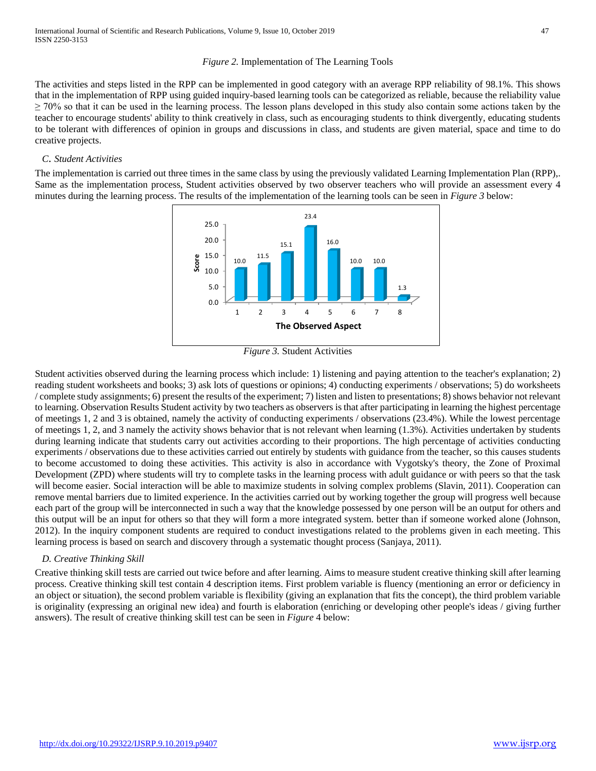# *Figure 2.* Implementation of The Learning Tools

The activities and steps listed in the RPP can be implemented in good category with an average RPP reliability of 98.1%. This shows that in the implementation of RPP using guided inquiry-based learning tools can be categorized as reliable, because the reliability value  $\geq$  70% so that it can be used in the learning process. The lesson plans developed in this study also contain some actions taken by the teacher to encourage students' ability to think creatively in class, such as encouraging students to think divergently, educating students to be tolerant with differences of opinion in groups and discussions in class, and students are given material, space and time to do creative projects.

# *C*. *Student Activities*

The implementation is carried out three times in the same class by using the previously validated Learning Implementation Plan (RPP),. Same as the implementation process, Student activities observed by two observer teachers who will provide an assessment every 4 minutes during the learning process. The results of the implementation of the learning tools can be seen in *Figure 3* below:



*Figure 3.* Student Activities

Student activities observed during the learning process which include: 1) listening and paying attention to the teacher's explanation; 2) reading student worksheets and books; 3) ask lots of questions or opinions; 4) conducting experiments / observations; 5) do worksheets / complete study assignments; 6) present the results of the experiment; 7) listen and listen to presentations; 8) shows behavior not relevant to learning. Observation Results Student activity by two teachers as observers is that after participating in learning the highest percentage of meetings 1, 2 and 3 is obtained, namely the activity of conducting experiments / observations (23.4%). While the lowest percentage of meetings 1, 2, and 3 namely the activity shows behavior that is not relevant when learning (1.3%). Activities undertaken by students during learning indicate that students carry out activities according to their proportions. The high percentage of activities conducting experiments / observations due to these activities carried out entirely by students with guidance from the teacher, so this causes students to become accustomed to doing these activities. This activity is also in accordance with Vygotsky's theory, the Zone of Proximal Development (ZPD) where students will try to complete tasks in the learning process with adult guidance or with peers so that the task will become easier. Social interaction will be able to maximize students in solving complex problems (Slavin, 2011). Cooperation can remove mental barriers due to limited experience. In the activities carried out by working together the group will progress well because each part of the group will be interconnected in such a way that the knowledge possessed by one person will be an output for others and this output will be an input for others so that they will form a more integrated system. better than if someone worked alone (Johnson, 2012). In the inquiry component students are required to conduct investigations related to the problems given in each meeting. This learning process is based on search and discovery through a systematic thought process (Sanjaya, 2011).

# *D. Creative Thinking Skill*

Creative thinking skill tests are carried out twice before and after learning. Aims to measure student creative thinking skill after learning process. Creative thinking skill test contain 4 description items. First problem variable is fluency (mentioning an error or deficiency in an object or situation), the second problem variable is flexibility (giving an explanation that fits the concept), the third problem variable is originality (expressing an original new idea) and fourth is elaboration (enriching or developing other people's ideas / giving further answers). The result of creative thinking skill test can be seen in *Figure* 4 below: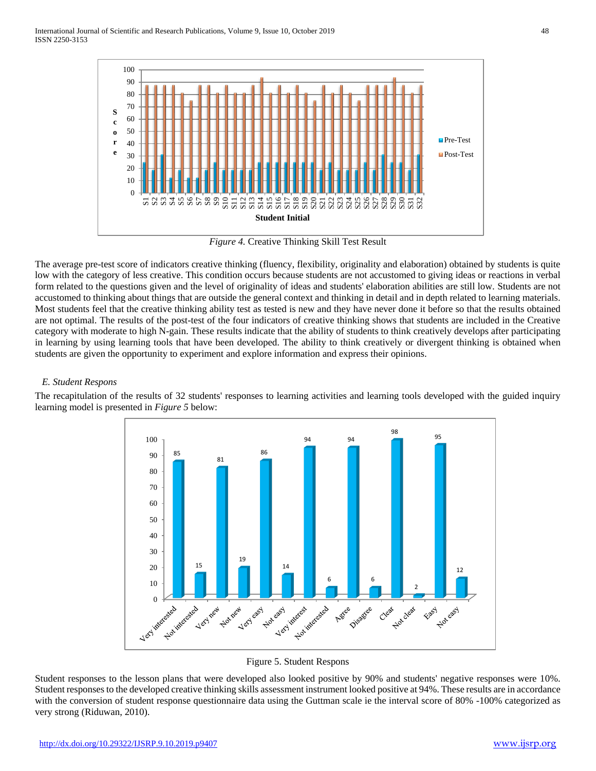

*Figure 4.* Creative Thinking Skill Test Result

The average pre-test score of indicators creative thinking (fluency, flexibility, originality and elaboration) obtained by students is quite low with the category of less creative. This condition occurs because students are not accustomed to giving ideas or reactions in verbal form related to the questions given and the level of originality of ideas and students' elaboration abilities are still low. Students are not accustomed to thinking about things that are outside the general context and thinking in detail and in depth related to learning materials. Most students feel that the creative thinking ability test as tested is new and they have never done it before so that the results obtained are not optimal. The results of the post-test of the four indicators of creative thinking shows that students are included in the Creative category with moderate to high N-gain. These results indicate that the ability of students to think creatively develops after participating in learning by using learning tools that have been developed. The ability to think creatively or divergent thinking is obtained when students are given the opportunity to experiment and explore information and express their opinions.

# *E. Student Respons*

The recapitulation of the results of 32 students' responses to learning activities and learning tools developed with the guided inquiry learning model is presented in *Figure 5* below:



Figure 5. Student Respons

Student responses to the lesson plans that were developed also looked positive by 90% and students' negative responses were 10%. Student responses to the developed creative thinking skills assessment instrument looked positive at 94%. These results are in accordance with the conversion of student response questionnaire data using the Guttman scale ie the interval score of 80% -100% categorized as very strong (Riduwan, 2010).